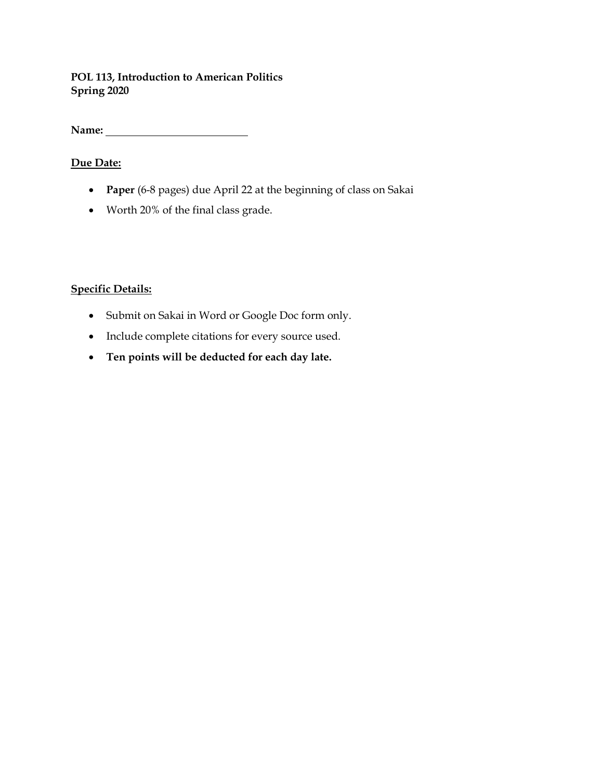## **POL 113, Introduction to American Politics Spring 2020**

**Name:** 

# **Due Date:**

- **Paper** (6-8 pages) due April 22 at the beginning of class on Sakai
- Worth 20% of the final class grade.

# **Specific Details:**

- Submit on Sakai in Word or Google Doc form only.
- Include complete citations for every source used.
- **Ten points will be deducted for each day late.**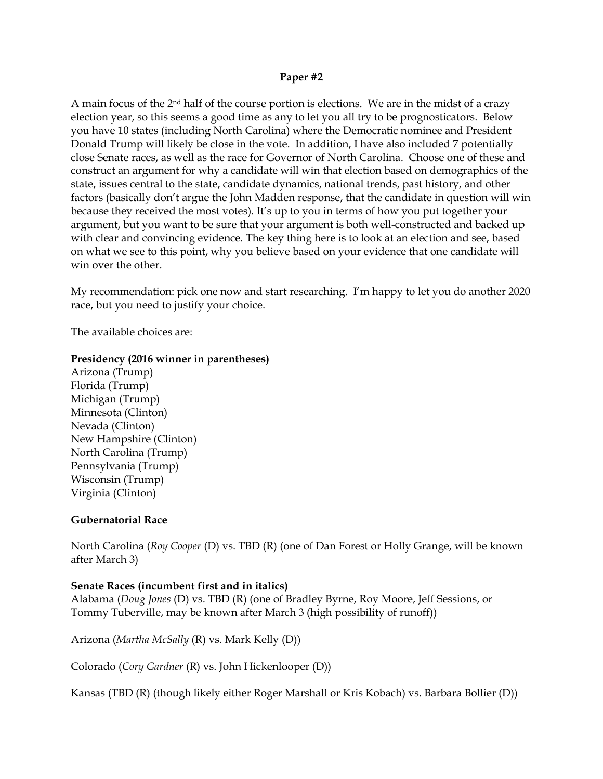## **Paper #2**

A main focus of the 2nd half of the course portion is elections. We are in the midst of a crazy election year, so this seems a good time as any to let you all try to be prognosticators. Below you have 10 states (including North Carolina) where the Democratic nominee and President Donald Trump will likely be close in the vote. In addition, I have also included 7 potentially close Senate races, as well as the race for Governor of North Carolina. Choose one of these and construct an argument for why a candidate will win that election based on demographics of the state, issues central to the state, candidate dynamics, national trends, past history, and other factors (basically don't argue the John Madden response, that the candidate in question will win because they received the most votes). It's up to you in terms of how you put together your argument, but you want to be sure that your argument is both well-constructed and backed up with clear and convincing evidence. The key thing here is to look at an election and see, based on what we see to this point, why you believe based on your evidence that one candidate will win over the other.

My recommendation: pick one now and start researching. I'm happy to let you do another 2020 race, but you need to justify your choice.

The available choices are:

## **Presidency (2016 winner in parentheses)**

Arizona (Trump) Florida (Trump) Michigan (Trump) Minnesota (Clinton) Nevada (Clinton) New Hampshire (Clinton) North Carolina (Trump) Pennsylvania (Trump) Wisconsin (Trump) Virginia (Clinton)

#### **Gubernatorial Race**

North Carolina (*Roy Cooper* (D) vs. TBD (R) (one of Dan Forest or Holly Grange, will be known after March 3)

#### **Senate Races (incumbent first and in italics)**

Alabama (*Doug Jones* (D) vs. TBD (R) (one of Bradley Byrne, Roy Moore, Jeff Sessions, or Tommy Tuberville, may be known after March 3 (high possibility of runoff))

Arizona (*Martha McSally* (R) vs. Mark Kelly (D))

Colorado (*Cory Gardner* (R) vs. John Hickenlooper (D))

Kansas (TBD (R) (though likely either Roger Marshall or Kris Kobach) vs. Barbara Bollier (D))